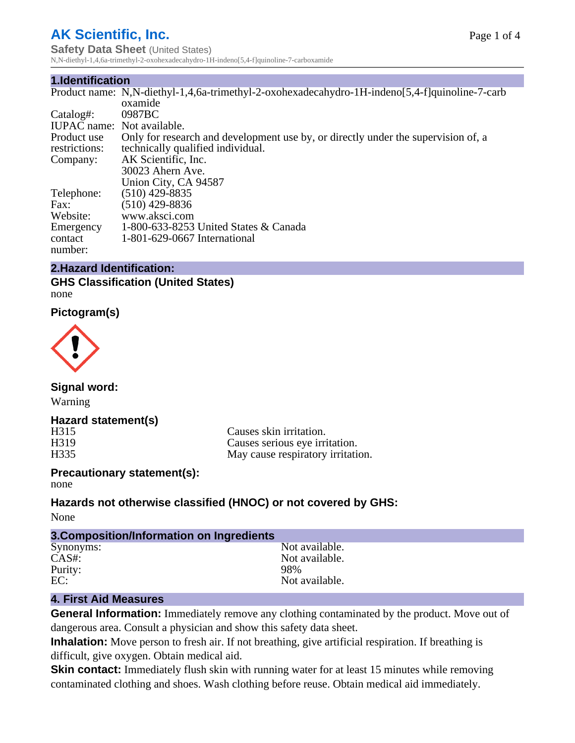# **AK Scientific, Inc.**

**Safety Data Sheet** (United States) N,N-diethyl-1,4,6a-trimethyl-2-oxohexadecahydro-1H-indeno[5,4-f]quinoline-7-carboxamide

#### **1.Identification**

|                            | Product name: N,N-diethyl-1,4,6a-trimethyl-2-oxohexadecahydro-1H-indeno[5,4-f]quinoline-7-carb |
|----------------------------|------------------------------------------------------------------------------------------------|
|                            | oxamide                                                                                        |
| Catalog#:                  | 0987 <sub>BC</sub>                                                                             |
| IUPAC name: Not available. |                                                                                                |
| Product use                | Only for research and development use by, or directly under the supervision of, a              |
| restrictions:              | technically qualified individual.                                                              |
| Company:                   | AK Scientific, Inc.                                                                            |
|                            | 30023 Ahern Ave.                                                                               |
|                            | Union City, CA 94587                                                                           |
| Telephone:                 | $(510)$ 429-8835                                                                               |
| Fax:                       | $(510)$ 429-8836                                                                               |
| Website:                   | www.aksci.com                                                                                  |
| Emergency                  | 1-800-633-8253 United States & Canada                                                          |
| contact                    | 1-801-629-0667 International                                                                   |
| number:                    |                                                                                                |

#### **2.Hazard Identification:**

**GHS Classification (United States)** none

**Pictogram(s)**



**Signal word:** Warning

#### **Hazard statement(s)**

H315 Causes skin irritation.<br>
H319 Causes serious eve irri H319 Causes serious eye irritation.<br>H335 May cause respiratory irritation. May cause respiratory irritation.

#### **Precautionary statement(s):** none

**Hazards not otherwise classified (HNOC) or not covered by GHS:**

None

| 3. Composition/Information on Ingredients |                |  |  |  |
|-------------------------------------------|----------------|--|--|--|
| Synonyms:                                 | Not available. |  |  |  |
| $CAS#$ :                                  | Not available. |  |  |  |
| Purity:                                   | 98%            |  |  |  |
| EC:                                       | Not available. |  |  |  |

#### **4. First Aid Measures**

**General Information:** Immediately remove any clothing contaminated by the product. Move out of dangerous area. Consult a physician and show this safety data sheet.

**Inhalation:** Move person to fresh air. If not breathing, give artificial respiration. If breathing is difficult, give oxygen. Obtain medical aid.

**Skin contact:** Immediately flush skin with running water for at least 15 minutes while removing contaminated clothing and shoes. Wash clothing before reuse. Obtain medical aid immediately.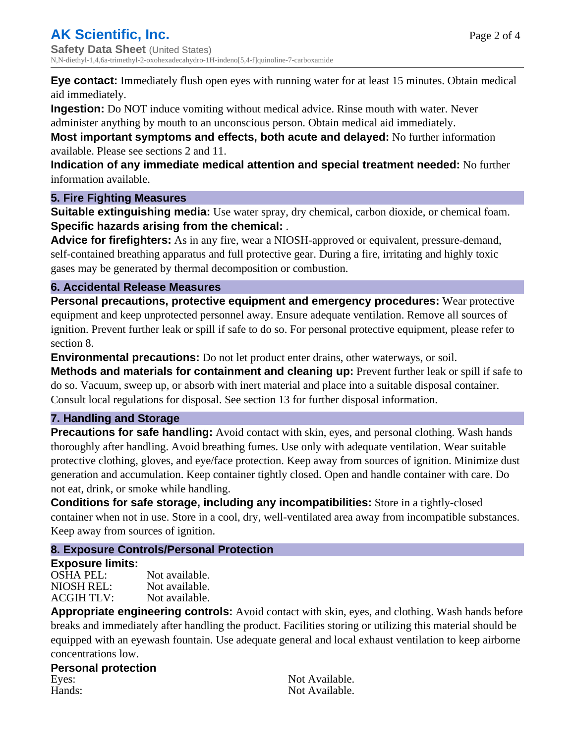**Eye contact:** Immediately flush open eyes with running water for at least 15 minutes. Obtain medical aid immediately.

**Ingestion:** Do NOT induce vomiting without medical advice. Rinse mouth with water. Never

administer anything by mouth to an unconscious person. Obtain medical aid immediately.

**Most important symptoms and effects, both acute and delayed:** No further information available. Please see sections 2 and 11.

**Indication of any immediate medical attention and special treatment needed:** No further information available.

### **5. Fire Fighting Measures**

**Suitable extinguishing media:** Use water spray, dry chemical, carbon dioxide, or chemical foam. **Specific hazards arising from the chemical:** .

**Advice for firefighters:** As in any fire, wear a NIOSH-approved or equivalent, pressure-demand, self-contained breathing apparatus and full protective gear. During a fire, irritating and highly toxic gases may be generated by thermal decomposition or combustion.

# **6. Accidental Release Measures**

**Personal precautions, protective equipment and emergency procedures:** Wear protective equipment and keep unprotected personnel away. Ensure adequate ventilation. Remove all sources of ignition. Prevent further leak or spill if safe to do so. For personal protective equipment, please refer to section 8.

**Environmental precautions:** Do not let product enter drains, other waterways, or soil.

**Methods and materials for containment and cleaning up:** Prevent further leak or spill if safe to do so. Vacuum, sweep up, or absorb with inert material and place into a suitable disposal container. Consult local regulations for disposal. See section 13 for further disposal information.

# **7. Handling and Storage**

**Precautions for safe handling:** Avoid contact with skin, eyes, and personal clothing. Wash hands thoroughly after handling. Avoid breathing fumes. Use only with adequate ventilation. Wear suitable protective clothing, gloves, and eye/face protection. Keep away from sources of ignition. Minimize dust generation and accumulation. Keep container tightly closed. Open and handle container with care. Do not eat, drink, or smoke while handling.

**Conditions for safe storage, including any incompatibilities:** Store in a tightly-closed container when not in use. Store in a cool, dry, well-ventilated area away from incompatible substances. Keep away from sources of ignition.

# **8. Exposure Controls/Personal Protection**

# **Exposure limits:**

OSHA PEL: Not available. NIOSH REL: Not available.<br>ACGIH TLV: Not available. ACGIH TLV:

**Appropriate engineering controls:** Avoid contact with skin, eyes, and clothing. Wash hands before breaks and immediately after handling the product. Facilities storing or utilizing this material should be equipped with an eyewash fountain. Use adequate general and local exhaust ventilation to keep airborne concentrations low.

# **Personal protection** Eyes: Not Available.<br>
Hands: Not Available.<br>
Not Available.

Not Available.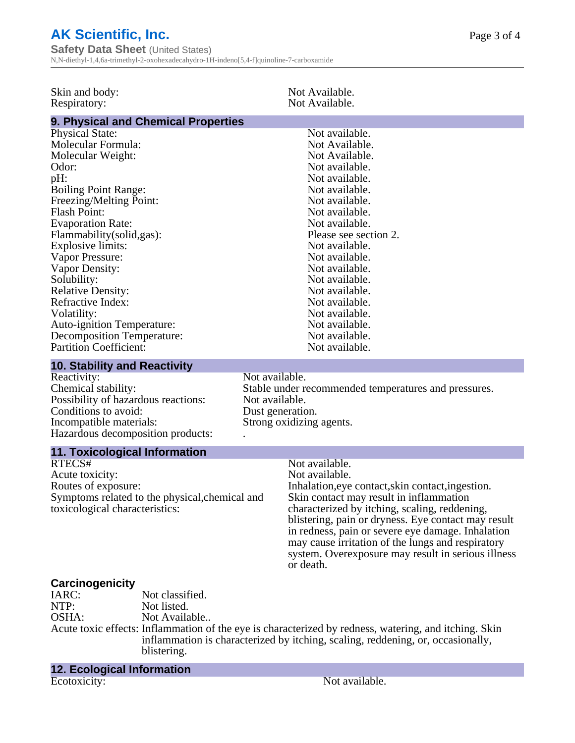# **AK Scientific, Inc.**

**Safety Data Sheet** (United States) N,N-diethyl-1,4,6a-trimethyl-2-oxohexadecahydro-1H-indeno[5,4-f]quinoline-7-carboxamide

| Skin and body:<br>Respiratory:                                                                                                                                                                                                                                                                                                                                                                                                                                                                                          |                                                                | Not Available.<br>Not Available.                                                                                                                                                                                                                                                                                                                                                                                      |  |  |
|-------------------------------------------------------------------------------------------------------------------------------------------------------------------------------------------------------------------------------------------------------------------------------------------------------------------------------------------------------------------------------------------------------------------------------------------------------------------------------------------------------------------------|----------------------------------------------------------------|-----------------------------------------------------------------------------------------------------------------------------------------------------------------------------------------------------------------------------------------------------------------------------------------------------------------------------------------------------------------------------------------------------------------------|--|--|
|                                                                                                                                                                                                                                                                                                                                                                                                                                                                                                                         |                                                                |                                                                                                                                                                                                                                                                                                                                                                                                                       |  |  |
| 9. Physical and Chemical Properties<br><b>Physical State:</b><br>Molecular Formula:<br>Molecular Weight:<br>Odor:<br>pH:<br><b>Boiling Point Range:</b><br>Freezing/Melting Point:<br><b>Flash Point:</b><br><b>Evaporation Rate:</b><br>Flammability (solid, gas):<br>Explosive limits:<br>Vapor Pressure:<br>Vapor Density:<br>Solubility:<br><b>Relative Density:</b><br>Refractive Index:<br>Volatility:<br><b>Auto-ignition Temperature:</b><br><b>Decomposition Temperature:</b><br><b>Partition Coefficient:</b> |                                                                | Not available.<br>Not Available.<br>Not Available.<br>Not available.<br>Not available.<br>Not available.<br>Not available.<br>Not available.<br>Not available.<br>Please see section 2.<br>Not available.<br>Not available.<br>Not available.<br>Not available.<br>Not available.<br>Not available.<br>Not available.<br>Not available.<br>Not available.<br>Not available.                                           |  |  |
|                                                                                                                                                                                                                                                                                                                                                                                                                                                                                                                         |                                                                |                                                                                                                                                                                                                                                                                                                                                                                                                       |  |  |
| <b>10. Stability and Reactivity</b><br>Reactivity:                                                                                                                                                                                                                                                                                                                                                                                                                                                                      |                                                                | Not available.                                                                                                                                                                                                                                                                                                                                                                                                        |  |  |
| Chemical stability:<br>Possibility of hazardous reactions:<br>Conditions to avoid:<br>Incompatible materials:<br>Hazardous decomposition products:                                                                                                                                                                                                                                                                                                                                                                      |                                                                | Stable under recommended temperatures and pressures.<br>Not available.<br>Dust generation.<br>Strong oxidizing agents.                                                                                                                                                                                                                                                                                                |  |  |
| <b>11. Toxicological Information</b>                                                                                                                                                                                                                                                                                                                                                                                                                                                                                    |                                                                |                                                                                                                                                                                                                                                                                                                                                                                                                       |  |  |
| RTECS#<br>Acute toxicity:<br>Routes of exposure:<br>Symptoms related to the physical, chemical and<br>toxicological characteristics:                                                                                                                                                                                                                                                                                                                                                                                    |                                                                | Not available.<br>Not available.<br>Inhalation, eye contact, skin contact, ingestion.<br>Skin contact may result in inflammation<br>characterized by itching, scaling, reddening,<br>blistering, pain or dryness. Eye contact may result<br>in redness, pain or severe eye damage. Inhalation<br>may cause irritation of the lungs and respiratory<br>system. Overexposure may result in serious illness<br>or death. |  |  |
| <b>Carcinogenicity</b><br>IARC:<br>NTP:<br>OSHA:                                                                                                                                                                                                                                                                                                                                                                                                                                                                        | Not classified.<br>Not listed.<br>Not Available<br>blistering. | Acute toxic effects: Inflammation of the eye is characterized by redness, watering, and itching. Skin<br>inflammation is characterized by itching, scaling, reddening, or, occasionally,                                                                                                                                                                                                                              |  |  |

**12. Ecological Information** Ecotoxicity: Not available.